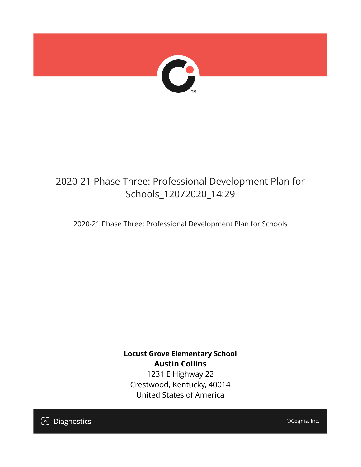

## 2020-21 Phase Three: Professional Development Plan for Schools\_12072020\_14:29

2020-21 Phase Three: Professional Development Plan for Schools

**Locust Grove Elementary School Austin Collins** 1231 E Highway 22 Crestwood, Kentucky, 40014 United States of America

[၁] Diagnostics

©Cognia, Inc.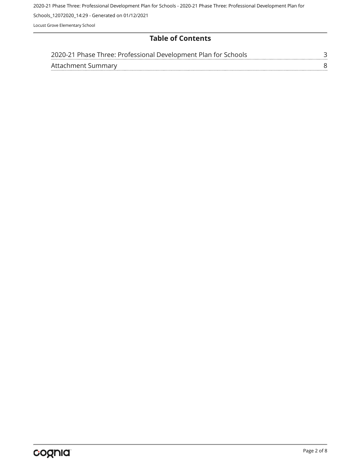2020-21 Phase Three: Professional Development Plan for Schools - 2020-21 Phase Three: Professional Development Plan for

Schools\_12072020\_14:29 - Generated on 01/12/2021

Locust Grove Elementary School

#### **Table of Contents**

|                    | 2020-21 Phase Three: Professional Development Plan for Schools |  |
|--------------------|----------------------------------------------------------------|--|
| Attachment Summary |                                                                |  |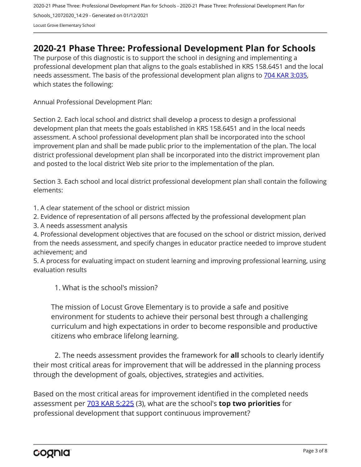2020-21 Phase Three: Professional Development Plan for Schools - 2020-21 Phase Three: Professional Development Plan for Schools\_12072020\_14:29 - Generated on 01/12/2021 Locust Grove Elementary School

### <span id="page-2-0"></span>**2020-21 Phase Three: Professional Development Plan for Schools**

The purpose of this diagnostic is to support the school in designing and implementing a professional development plan that aligns to the goals established in KRS 158.6451 and the local needs assessment. The basis of the professional development plan aligns to [704 KAR 3:035,](https://apps.legislature.ky.gov/Law/kar/704/003/035.pdf) which states the following:

Annual Professional Development Plan:

Section 2. Each local school and district shall develop a process to design a professional development plan that meets the goals established in KRS 158.6451 and in the local needs assessment. A school professional development plan shall be incorporated into the school improvement plan and shall be made public prior to the implementation of the plan. The local district professional development plan shall be incorporated into the district improvement plan and posted to the local district Web site prior to the implementation of the plan.

Section 3. Each school and local district professional development plan shall contain the following elements:

1. A clear statement of the school or district mission

2. Evidence of representation of all persons affected by the professional development plan

3. A needs assessment analysis

4. Professional development objectives that are focused on the school or district mission, derived from the needs assessment, and specify changes in educator practice needed to improve student achievement; and

5. A process for evaluating impact on student learning and improving professional learning, using evaluation results

1. What is the school's mission?

The mission of Locust Grove Elementary is to provide a safe and positive environment for students to achieve their personal best through a challenging curriculum and high expectations in order to become responsible and productive citizens who embrace lifelong learning.

2. The needs assessment provides the framework for **all** schools to clearly identify their most critical areas for improvement that will be addressed in the planning process through the development of goals, objectives, strategies and activities.

Based on the most critical areas for improvement identified in the completed needs assessment per [703 KAR 5:225](https://apps.legislature.ky.gov/law/kar/703/005/225.pdf) (3), what are the school's **top two priorities** for professional development that support continuous improvement?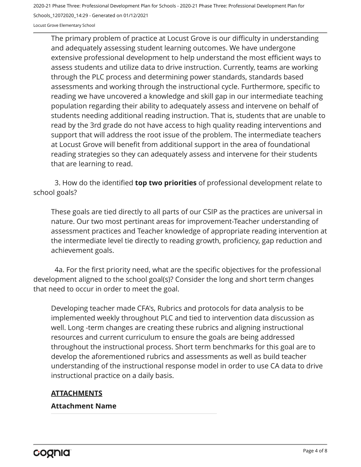2020-21 Phase Three: Professional Development Plan for Schools - 2020-21 Phase Three: Professional Development Plan for

Schools\_12072020\_14:29 - Generated on 01/12/2021

Locust Grove Elementary School

The primary problem of practice at Locust Grove is our difficulty in understanding and adequately assessing student learning outcomes. We have undergone extensive professional development to help understand the most efficient ways to assess students and utilize data to drive instruction. Currently, teams are working through the PLC process and determining power standards, standards based assessments and working through the instructional cycle. Furthermore, specific to reading we have uncovered a knowledge and skill gap in our intermediate teaching population regarding their ability to adequately assess and intervene on behalf of students needing additional reading instruction. That is, students that are unable to read by the 3rd grade do not have access to high quality reading interventions and support that will address the root issue of the problem. The intermediate teachers at Locust Grove will benefit from additional support in the area of foundational reading strategies so they can adequately assess and intervene for their students that are learning to read.

3. How do the identified **top two priorities** of professional development relate to school goals?

These goals are tied directly to all parts of our CSIP as the practices are universal in nature. Our two most pertinant areas for improvement-Teacher understanding of assessment practices and Teacher knowledge of appropriate reading intervention at the intermediate level tie directly to reading growth, proficiency, gap reduction and achievement goals.

4a. For the first priority need, what are the specific objectives for the professional development aligned to the school goal(s)? Consider the long and short term changes that need to occur in order to meet the goal.

Developing teacher made CFA's, Rubrics and protocols for data analysis to be implemented weekly throughout PLC and tied to intervention data discussion as well. Long -term changes are creating these rubrics and aligning instructional resources and current curriculum to ensure the goals are being addressed throughout the instructional process. Short term benchmarks for this goal are to develop the aforementioned rubrics and assessments as well as build teacher understanding of the instructional response model in order to use CA data to drive instructional practice on a daily basis.

#### **ATTACHMENTS**

#### **Attachment Name**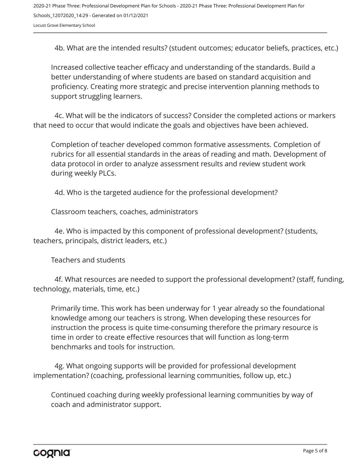2020-21 Phase Three: Professional Development Plan for Schools - 2020-21 Phase Three: Professional Development Plan for Schools\_12072020\_14:29 - Generated on 01/12/2021 Locust Grove Elementary School

4b. What are the intended results? (student outcomes; educator beliefs, practices, etc.)

Increased collective teacher efficacy and understanding of the standards. Build a better understanding of where students are based on standard acquisition and proficiency. Creating more strategic and precise intervention planning methods to support struggling learners.

4c. What will be the indicators of success? Consider the completed actions or markers that need to occur that would indicate the goals and objectives have been achieved.

Completion of teacher developed common formative assessments. Completion of rubrics for all essential standards in the areas of reading and math. Development of data protocol in order to analyze assessment results and review student work during weekly PLCs.

4d. Who is the targeted audience for the professional development?

Classroom teachers, coaches, administrators

4e. Who is impacted by this component of professional development? (students, teachers, principals, district leaders, etc.)

Teachers and students

4f. What resources are needed to support the professional development? (staff, funding, technology, materials, time, etc.)

Primarily time. This work has been underway for 1 year already so the foundational knowledge among our teachers is strong. When developing these resources for instruction the process is quite time-consuming therefore the primary resource is time in order to create effective resources that will function as long-term benchmarks and tools for instruction.

4g. What ongoing supports will be provided for professional development implementation? (coaching, professional learning communities, follow up, etc.)

Continued coaching during weekly professional learning communities by way of coach and administrator support.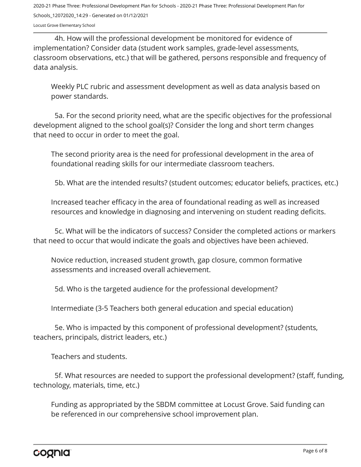2020-21 Phase Three: Professional Development Plan for Schools - 2020-21 Phase Three: Professional Development Plan for Schools\_12072020\_14:29 - Generated on 01/12/2021

Locust Grove Elementary School

4h. How will the professional development be monitored for evidence of implementation? Consider data (student work samples, grade-level assessments, classroom observations, etc.) that will be gathered, persons responsible and frequency of data analysis.

Weekly PLC rubric and assessment development as well as data analysis based on power standards.

5a. For the second priority need, what are the specific objectives for the professional development aligned to the school goal(s)? Consider the long and short term changes that need to occur in order to meet the goal.

The second priority area is the need for professional development in the area of foundational reading skills for our intermediate classroom teachers.

5b. What are the intended results? (student outcomes; educator beliefs, practices, etc.)

Increased teacher efficacy in the area of foundational reading as well as increased resources and knowledge in diagnosing and intervening on student reading deficits.

5c. What will be the indicators of success? Consider the completed actions or markers that need to occur that would indicate the goals and objectives have been achieved.

Novice reduction, increased student growth, gap closure, common formative assessments and increased overall achievement.

5d. Who is the targeted audience for the professional development?

Intermediate (3-5 Teachers both general education and special education)

5e. Who is impacted by this component of professional development? (students, teachers, principals, district leaders, etc.)

Teachers and students.

5f. What resources are needed to support the professional development? (staff, funding, technology, materials, time, etc.)

Funding as appropriated by the SBDM committee at Locust Grove. Said funding can be referenced in our comprehensive school improvement plan.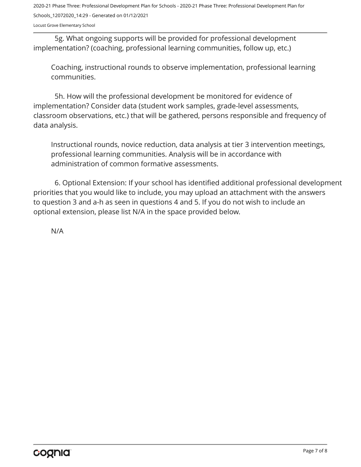2020-21 Phase Three: Professional Development Plan for Schools - 2020-21 Phase Three: Professional Development Plan for Schools\_12072020\_14:29 - Generated on 01/12/2021

Locust Grove Elementary School

5g. What ongoing supports will be provided for professional development implementation? (coaching, professional learning communities, follow up, etc.)

Coaching, instructional rounds to observe implementation, professional learning communities.

5h. How will the professional development be monitored for evidence of implementation? Consider data (student work samples, grade-level assessments, classroom observations, etc.) that will be gathered, persons responsible and frequency of data analysis.

Instructional rounds, novice reduction, data analysis at tier 3 intervention meetings, professional learning communities. Analysis will be in accordance with administration of common formative assessments.

6. Optional Extension: If your school has identified additional professional development priorities that you would like to include, you may upload an attachment with the answers to question 3 and a-h as seen in questions 4 and 5. If you do not wish to include an optional extension, please list N/A in the space provided below.

N/A